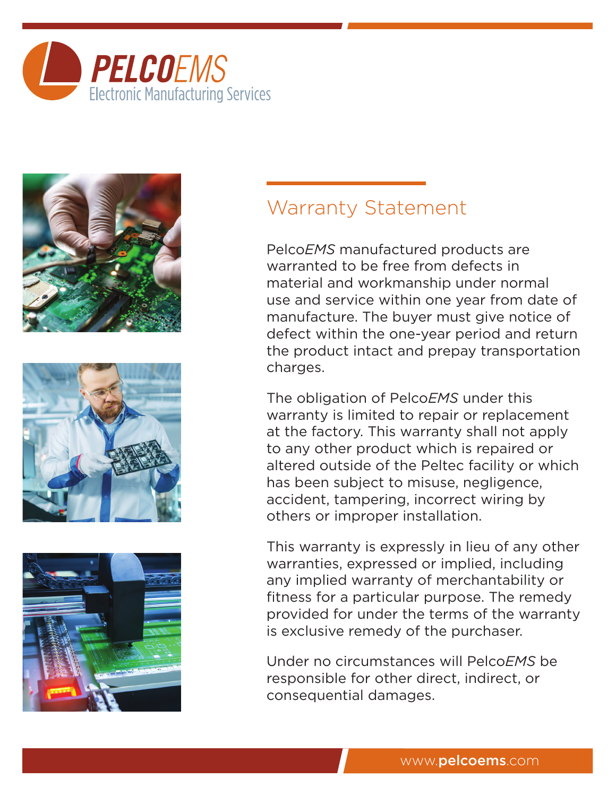







## Warranty Statement

Pelco*EMS* manufactured products are warranted to be free from defects in material and workmanship under normal use and service within one year from date of manufacture. The buyer must give notice of defect within the one-year period and return the product intact and prepay transportation charges.

The obligation of Pelco*EMS* under this warranty is limited to repair or replacement at the factory. This warranty shall not apply to any other product which is repaired or altered outside of the Peltec facility or which has been subject to misuse, negligence, accident, tampering, incorrect wiring by others or improper installation.

This warranty is expressly in lieu of any other warranties, expressed or implied, including any implied warranty of merchantability or fitness for a particular purpose. The remedy provided for under the terms of the warranty is exclusive remedy of the purchaser.

Under no circumstances will Pelco*EMS* be responsible for other direct, indirect, or consequential damages.